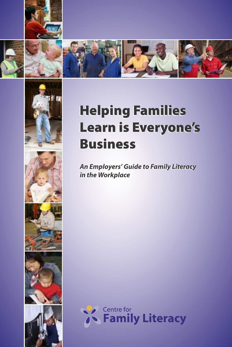









**An Employers' Guide to Family Literacy An Employers' Guide to Family Literacy in the Workplace in the Workplace**

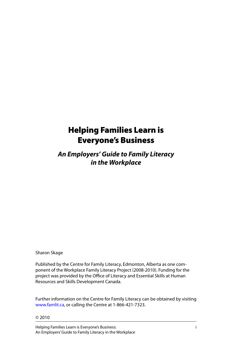# Helping Families Learn is Everyone's Business

**An Employers' Guide to Family Literacy in the Workplace**

Sharon Skage

Published by the Centre for Family Literacy, Edmonton, Alberta as one component of the Workplace Family Literacy Project (2008-2010). Funding for the project was provided by the Office of Literacy and Essential Skills at Human Resources and Skills Development Canada.

Further information on the Centre for Family Literacy can be obtained by visiting www.famlit.ca, or calling the Centre at 1-866-421-7323.

© 2010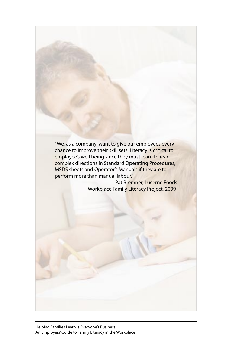"We, as a company, want to give our employees every chance to improve their skill sets. Literacy is critical to employee's well being since they must learn to read complex directions in Standard Operating Procedures, MSDS sheets and Operator's Manuals if they are to perform more than manual labour."

Pat Bremner, Lucerne Foods Workplace Family Literacy Project, 2009i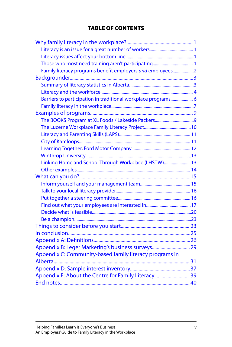## TABLE OF CONTENTS

| Family literacy programs benefit employers and employees2     |  |
|---------------------------------------------------------------|--|
|                                                               |  |
|                                                               |  |
|                                                               |  |
| Barriers to participation in traditional workplace programs 6 |  |
|                                                               |  |
|                                                               |  |
|                                                               |  |
|                                                               |  |
|                                                               |  |
|                                                               |  |
|                                                               |  |
|                                                               |  |
| Linking Home and School Through Workplace (LHSTW) 13          |  |
|                                                               |  |
|                                                               |  |
|                                                               |  |
|                                                               |  |
|                                                               |  |
|                                                               |  |
|                                                               |  |
|                                                               |  |
|                                                               |  |
|                                                               |  |
|                                                               |  |
| Appendix B: Leger Marketing's business surveys 29             |  |
| Appendix C: Community-based family literacy programs in       |  |
|                                                               |  |
|                                                               |  |
| Appendix E: About the Centre for Family Literacy 39           |  |
|                                                               |  |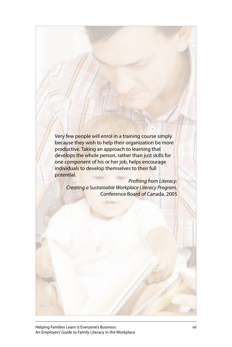Very few people will enrol in a training course simply because they wish to help their organization be more productive. Taking an approach to learning that develops the whole person, rather than just skills for one component of his or her job, helps encourage individuals to develop themselves to their full potential.

Profiting from Literacy: Creating a Sustainable Workplace Literacy Program, Conference Board of Canada, 2005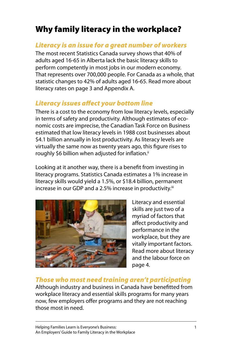# <span id="page-5-0"></span>Why family literacy in the workplace?

## Literacy is an issue for a great number of workers

The most recent Statistics Canada survey shows that 40% of adults aged 16-65 in Alberta lack the basic literacy skills to perform competently in most jobs in our modern economy. That represents over 700,000 people. For Canada as a whole, that statistic changes to 42% of adults aged 16-65. Read more about literacy rates on page 3 and Appendix A.

# Literacy issues affect your bottom line

There is a cost to the economy from low literacy levels, especially in terms of safety and productivity. Although estimates of economic costs are imprecise, the Canadian Task Force on Business estimated that low literacy levels in 1988 cost businesses about \$4.1 billion annually in lost productivity. As literacy levels are virtually the same now as twenty years ago, this figure rises to roughly \$6 billion when adjusted for inflation.<sup>ii</sup>

Looking at it another way, there is a benefit from investing in literacy programs. Statistics Canada estimates a 1% increase in literacy skills would yield a 1.5%, or \$18.4 billion, permanent increase in our GDP and a 2.5% increase in productivity.<sup>iii</sup>



Literacy and essential skills are just two of a myriad of factors that affect productivity and performance in the workplace, but they are vitally important factors. Read more about literacy and the labour force on page 4.

# Those who most need training aren't participating

Although industry and business in Canada have benefitted from workplace literacy and essential skills programs for many years now, few employers offer programs and they are not reaching those most in need.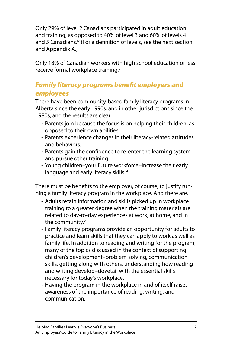<span id="page-6-0"></span>Only 29% of level 2 Canadians participated in adult education and training, as opposed to 40% of level 3 and 60% of levels 4 and 5 Canadians.<sup>iv</sup> (For a definition of levels, see the next section and Appendix A.)

Only 18% of Canadian workers with high school education or less receive formal workplace training.<sup>v</sup>

## Family literacy programs benefit employers and employees

There have been community-based family literacy programs in Alberta since the early 1990s, and in other jurisdictions since the 1980s, and the results are clear.

- Parents join because the focus is on helping their children, as opposed to their own abilities.
- Parents experience changes in their literacy-related attitudes and behaviors.
- Parents gain the confidence to re-enter the learning system and pursue other training.
- Young children–your future workforce–increase their early language and early literacy skills.<sup>vi</sup>

There must be benefits to the employer, of course, to justify running a family literacy program in the workplace. And there are.

- Adults retain information and skills picked up in workplace training to a greater degree when the training materials are related to day-to-day experiences at work, at home, and in the community.<sup>vii</sup>
- Family literacy programs provide an opportunity for adults to practice and learn skills that they can apply to work as well as family life. In addition to reading and writing for the program, many of the topics discussed in the context of supporting children's development–problem-solving, communication skills, getting along with others, understanding how reading and writing develop–dovetail with the essential skills necessary for today's workplace.
- Having the program in the workplace in and of itself raises awareness of the importance of reading, writing, and communication.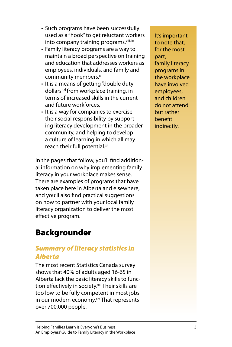- <span id="page-7-0"></span>• Such programs have been successfully used as a "hook" to get reluctant workers into company training programs. Viii, ix
- Family literacy programs are a way to maintain a broad perspective on training and education that addresses workers as employees, individuals, and family and community members. x
- It is a means of getting "double duty dollars"xi from workplace training, in terms of increased skills in the current and future workforces.
- It is a way for companies to exercise their social responsibility by supporting literacy development in the broader community, and helping to develop a culture of learning in which all may reach their full potential.<sup>xii</sup>

In the pages that follow, you'll find additional information on why implementing family literacy in your workplace makes sense. There are examples of programs that have taken place here in Alberta and elsewhere, and you'll also find practical suggestions on how to partner with your local family literacy organization to deliver the most effective program.

# Backgrounder

# Summary of literacy statistics in Alberta

The most recent Statistics Canada survey shows that 40% of adults aged 16-65 in Alberta lack the basic literacy skills to function effectively in society.<sup>xiii</sup> Their skills are too low to be fully competent in most jobs in our modern economy.<sup>xiv</sup> That represents over 700,000 people.

It's important to note that, for the most part, family literacy programs in the workplace have involved employees, and children do not attend but rather benefit indirectly.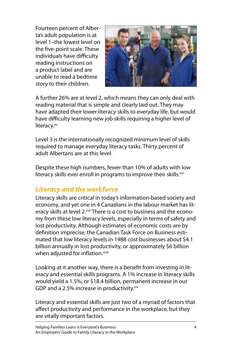<span id="page-8-0"></span>Fourteen percent of Alberta's adult population is at level 1–the lowest level on the five-point scale. These individuals have difficulty reading instructions on a product label and are unable to read a bedtime story to their children.



A further 26% are at level 2, which means they can only deal with reading material that is simple and clearly laid out. They may have adapted their lower literacy skills to everyday life, but would have difficulty learning new job skills requiring a higher level of literacy.xv

Level 3 is the internationally recognized minimum level of skills required to manage everyday literacy tasks. Thirty percent of adult Albertans are at this level.

Despite these high numbers, fewer than 10% of adults with low literacy skills ever enroll in programs to improve their skills.<sup>xvi</sup>

# Literacy and the workforce

Literacy skills are critical in today's information-based society and economy, and yet one in 4 Canadians in the labour market has literacy skills at level 2.<sup>xvii</sup> There is a cost to business and the economy from these low literacy levels, especially in terms of safety and lost productivity. Although estimates of economic costs are by definition imprecise, the Canadian Task Force on Business estimated that low literacy levels in 1988 cost businesses about \$4.1 billion annually in lost productivity, or approximately \$6 billion when adjusted for inflation.<sup>xviii</sup>

Looking at it another way, there is a benefit from investing in literacy and essential skills programs. A 1% increase in literacy skills would yield a 1.5%, or \$18.4 billion, permanent increase in our GDP and a 2.5% increase in productivity. $x$ ix

Literacy and essential skills are just two of a myriad of factors that affect productivity and performance in the workplace, but they are vitally important factors.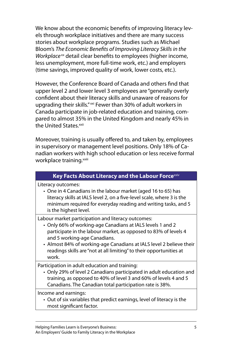We know about the economic benefits of improving literacy levels through workplace initiatives and there are many success stories about workplace programs. Studies such as Michael Bloom's The Economic Benefits of Improving Literacy Skills in the Workplace $x^x$  detail clear benefits to employees (higher income, less unemployment, more full-time work, etc.) and employers (time savings, improved quality of work, lower costs, etc.).

However, the Conference Board of Canada and others find that upper level 2 and lower level 3 employees are "generally overly confident about their literacy skills and unaware of reasons for upgrading their skills."<sup>xxi</sup> Fewer than 30% of adult workers in Canada participate in job-related education and training, compared to almost 35% in the United Kingdom and nearly 45% in the United States.<sup>xxii</sup>

Moreover, training is usually offered to, and taken by, employees in supervisory or management level positions. Only 18% of Canadian workers with high school education or less receive formal workplace training.<sup>xxiii</sup>

### **Key Facts About Literacy and the Labour Force**xxiv

Literacy outcomes:

One in 4 Canadians in the labour market (aged 16 to 65) has • literacy skills at IALS level 2, on a five-level scale, where 3 is the minimum required for everyday reading and writing tasks, and 5 is the highest level.

Labour market participation and literacy outcomes:

- Only 66% of working-age Canadians at IALS levels 1 and 2 participate in the labour market, as opposed to 83% of levels 4 and 5 working-age Canadians.
- Almost 84% of working-age Canadians at IALS level 2 believe their readings skills are "not at all limiting" to their opportunities at work.

Participation in adult education and training:

Only 29% of level 2 Canadians participated in adult education and • training, as opposed to 40% of level 3 and 60% of levels 4 and 5 Canadians. The Canadian total participation rate is 38%.

Income and earnings:

Out of six variables that predict earnings, level of literacy is the •most significant factor.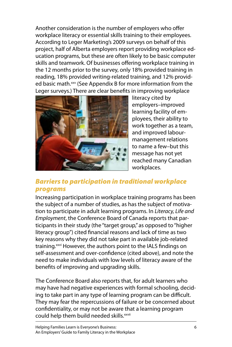<span id="page-10-0"></span>Another consideration is the number of employers who offer workplace literacy or essential skills training to their employees. According to Leger Marketing's 2009 surveys on behalf of this project, half of Alberta employers report providing workplace education programs, but these are often likely to be basic computer skills and teamwork. Of businesses offering workplace training in the 12 months prior to the survey, only 18% provided training in reading, 18% provided writing-related training, and 12% provided basic math.<sup>xxv</sup> (See Appendix B for more information from the Leger surveys.) There are clear benefits in improving workplace



literacy cited by employers–improved learning facility of employees, their ability to work together as a team, and improved labourmanagement relations to name a few–but this message has not yet reached many Canadian workplaces.

## Barriers to participation in traditional workplace programs

Increasing participation in workplace training programs has been the subject of a number of studies, as has the subject of motivation to participate in adult learning programs. In Literacy, Life and Employment, the Conference Board of Canada reports that participants in their study (the "target group," as opposed to "higher literacy group") cited financial reasons and lack of time as two key reasons why they did not take part in available job-related training.<sup>xxvi</sup> However, the authors point to the IALS findings on self-assessment and over-confidence (cited above), and note the need to make individuals with low levels of literacy aware of the benefits of improving and upgrading skills.

The Conference Board also reports that, for adult learners who may have had negative experiences with formal schooling, deciding to take part in any type of learning program can be difficult. They may fear the repercussions of failure or be concerned about confidentiality, or may not be aware that a learning program could help them build needed skills.<sup>xxvii</sup>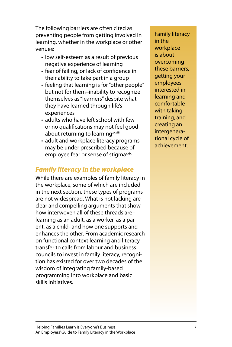<span id="page-11-0"></span>The following barriers are often cited as preventing people from getting involved in learning, whether in the workplace or other venues:

- low self-esteem as a result of previous negative experience of learning
- fear of failing, or lack of confidence in their ability to take part in a group
- feeling that learning is for "other people" but not for them–inability to recognize themselves as "learners" despite what they have learned through life's experiences
- adults who have left school with few or no qualifications may not feel good about returning to learning<sup>xxviii</sup>
- adult and workplace literacy programs may be under prescribed because of employee fear or sense of stigma<sup>xxix</sup>

# Family literacy in the workplace

While there are examples of family literacy in the workplace, some of which are included in the next section, these types of programs are not widespread. What is not lacking are clear and compelling arguments that show how interwoven all of these threads are– learning as an adult, as a worker, as a parent, as a child–and how one supports and enhances the other. From academic research on functional context learning and literacy transfer to calls from labour and business councils to invest in family literacy, recognition has existed for over two decades of the wisdom of integrating family-based programming into workplace and basic skills initiatives.

Family literacy in the workplace is about overcoming these barriers, getting your employees interested in learning and comfortable with taking training, and creating an intergenerational cycle of achievement.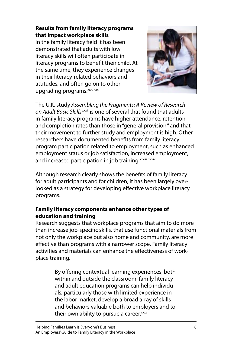## **Results from family literacy programs that impact workplace skills**

In the family literacy field it has been demonstrated that adults with low literacy skills will often participate in literacy programs to benefit their child. At the same time, they experience changes in their literacy-related behaviors and attitudes, and often go on to other upgrading programs.<sup>xxx, xxxi</sup>



The U.K. study Assembling the Fragments: A Review of Research on Adult Basic Skills<sup>xxxii</sup> is one of several that found that adults in family literacy programs have higher attendance, retention, and completion rates than those in "general provision," and that their movement to further study and employment is high. Other researchers have documented benefits from family literacy program participation related to employment, such as enhanced employment status or job satisfaction, increased employment, and increased participation in job training.<sup>xxxiii, xxxiv</sup>

Although research clearly shows the benefits of family literacy for adult participants and for children, it has been largely overlooked as a strategy for developing effective workplace literacy programs.

## **Family literacy components enhance other types of education and training**

Research suggests that workplace programs that aim to do more than increase job-specific skills, that use functional materials from not only the workplace but also home and community, are more effective than programs with a narrower scope. Family literacy activities and materials can enhance the effectiveness of workplace training.

> By offering contextual learning experiences, both within and outside the classroom, family literacy and adult education programs can help individuals, particularly those with limited experience in the labor market, develop a broad array of skills and behaviors valuable both to employers and to their own ability to pursue a career.<sup>xxxv</sup>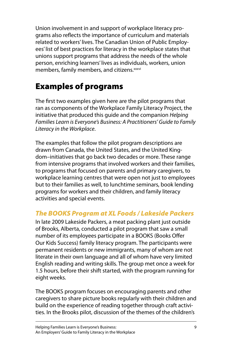<span id="page-13-0"></span>Union involvement in and support of workplace literacy programs also reflects the importance of curriculum and materials related to workers' lives. The Canadian Union of Public Employees' list of best practices for literacy in the workplace states that unions support programs that address the needs of the whole person, enriching learners' lives as individuals, workers, union members, family members, and citizens.<sup>xxxvi</sup>

# Examples of programs

The first two examples given here are the pilot programs that ran as components of the Workplace Family Literacy Project, the initiative that produced this quide and the companion Helping Families Learn is Everyone's Business: A Practitioners' Guide to Family Literacy in the Workplace.

The examples that follow the pilot program descriptions are drawn from Canada, the United States, and the United Kingdom–initiatives that go back two decades or more. These range from intensive programs that involved workers and their families, to programs that focused on parents and primary caregivers, to workplace learning centres that were open not just to employees but to their families as well, to lunchtime seminars, book lending programs for workers and their children, and family literacy activities and special events.

# The BOOKS Program at XL Foods / Lakeside Packers

In late 2009 Lakeside Packers, a meat packing plant just outside of Brooks, Alberta, conducted a pilot program that saw a small number of its employees participate in a BOOKS (Books Offer Our Kids Success) family literacy program. The participants were permanent residents or new immigrants, many of whom are not literate in their own language and all of whom have very limited English reading and writing skills. The group met once a week for 1.5 hours, before their shift started, with the program running for eight weeks.

The BOOKS program focuses on encouraging parents and other caregivers to share picture books regularly with their children and build on the experience of reading together through craft activities. In the Brooks pilot, discussion of the themes of the children's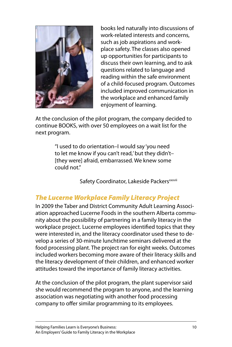<span id="page-14-0"></span>

books led naturally into discussions of work-related interests and concerns, such as job aspirations and workplace safety. The classes also opened up opportunities for participants to discuss their own learning, and to ask questions related to language and reading within the safe environment of a child-focused program. Outcomes included improved communication in the workplace and enhanced family enjoyment of learning.

At the conclusion of the pilot program, the company decided to continue BOOKS, with over 50 employees on a wait list for the next program.

> "I used to do orientation–I would say 'you need to let me know if you can't read,' but they didn't– [they were] afraid, embarrassed. We knew some could not."

> > Safety Coordinator, Lakeside Packers<sup>xxxvii</sup>

# The Lucerne Workplace Family Literacy Project

In 2009 the Taber and District Community Adult Learning Association approached Lucerne Foods in the southern Alberta community about the possibility of partnering in a family literacy in the workplace project. Lucerne employees identified topics that they were interested in, and the literacy coordinator used these to develop a series of 30-minute lunchtime seminars delivered at the food processing plant. The project ran for eight weeks. Outcomes included workers becoming more aware of their literacy skills and the literacy development of their children, and enhanced worker attitudes toward the importance of family literacy activities.

At the conclusion of the pilot program, the plant supervisor said she would recommend the program to anyone, and the learning association was negotiating with another food processing company to offer similar programming to its employees.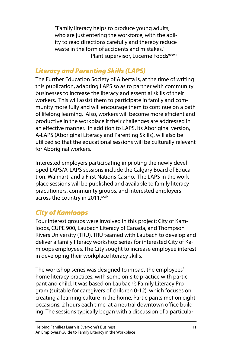<span id="page-15-0"></span>"Family literacy helps to produce young adults, who are just entering the workforce, with the ability to read directions carefully and thereby reduce waste in the form of accidents and mistakes." Plant supervisor, Lucerne Foods<sup>xxxviii</sup>

## Literacy and Parenting Skills (LAPS)

The Further Education Society of Alberta is, at the time of writing this publication, adapting LAPS so as to partner with community businesses to increase the literacy and essential skills of their workers. This will assist them to participate in family and community more fully and will encourage them to continue on a path of lifelong learning. Also, workers will become more efficient and productive in the workplace if their challenges are addressed in an effective manner. In addition to LAPS, its Aboriginal version, A-LAPS (Aboriginal Literacy and Parenting Skills), will also be utilized so that the educational sessions will be culturally relevant for Aboriginal workers.

Interested employers participating in piloting the newly developed LAPS/A-LAPS sessions include the Calgary Board of Education, Walmart, and a First Nations Casino. The LAPS in the workplace sessions will be published and available to family literacy practitioners, community groups, and interested employers across the country in 2011.<sup>xxxix</sup>

# City of Kamloops

Four interest groups were involved in this project: City of Kamloops, CUPE 900, Laubach Literacy of Canada, and Thompson Rivers University (TRU). TRU teamed with Laubach to develop and deliver a family literacy workshop series for interested City of Kamloops employees. The City sought to increase employee interest in developing their workplace literacy skills.

The workshop series was designed to impact the employees' home literacy practices, with some on-site practice with participant and child. It was based on Laubach's Family Literacy Program (suitable for caregivers of children 0-12), which focuses on creating a learning culture in the home. Participants met on eight occasions, 2 hours each time, at a neutral downtown office building. The sessions typically began with a discussion of a particular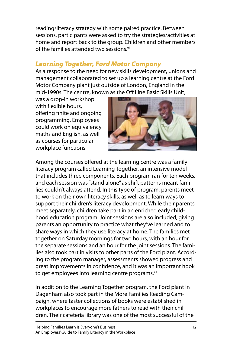<span id="page-16-0"></span>reading/literacy strategy with some paired practice. Between sessions, participants were asked to try the strategies/activities at home and report back to the group. Children and other members of the families attended two sessions.<sup>xl</sup>

## Learning Together, Ford Motor Company

As a response to the need for new skills development, unions and management collaborated to set up a learning centre at the Ford Motor Company plant just outside of London, England in the mid-1990s. The centre, known as the Off Line Basic Skills Unit,

was a drop-in workshop with flexible hours, offering finite and ongoing programming. Employees could work on equivalency maths and English, as well as courses for particular workplace functions.



Among the courses offered at the learning centre was a family literacy program called Learning Together, an intensive model that includes three components. Each program ran for ten weeks, and each session was "stand alone" as shift patterns meant families couldn't always attend. In this type of program, parents meet to work on their own literacy skills, as well as to learn ways to support their children's literacy development. While their parents meet separately, children take part in an enriched early childhood education program. Joint sessions are also included, giving parents an opportunity to practice what they've learned and to share ways in which they use literacy at home. The families met together on Saturday mornings for two hours, with an hour for the separate sessions and an hour for the joint sessions. The families also took part in visits to other parts of the Ford plant. According to the program manager, assessments showed progress and great improvements in confidence, and it was an important hook to get employees into learning centre programs.<sup>xli</sup>

In addition to the Learning Together program, the Ford plant in Dagenham also took part in the More Families Reading Campaign, where taster collections of books were established in workplaces to encourage more fathers to read with their children. Their cafeteria library was one of the most successful of the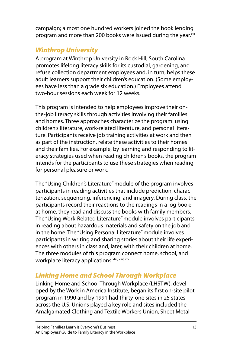<span id="page-17-0"></span>campaign; almost one hundred workers joined the book lending program and more than 200 books were issued during the year.xlii

# Winthrop University

A program at Winthrop University in Rock Hill, South Carolina promotes lifelong literacy skills for its custodial, gardening, and refuse collection department employees and, in turn, helps these adult learners support their children's education. (Some employees have less than a grade six education.) Employees attend two-hour sessions each week for 12 weeks.

This program is intended to help employees improve their onthe-job literacy skills through activities involving their families and homes. Three approaches characterize the program: using children's literature, work-related literature, and personal literature. Participants receive job training activities at work and then as part of the instruction, relate these activities to their homes and their families. For example, by learning and responding to literacy strategies used when reading children's books, the program intends for the participants to use these strategies when reading for personal pleasure or work.

The "Using Children's Literature" module of the program involves participants in reading activities that include prediction, characterization, sequencing, inferencing, and imagery. During class, the participants record their reactions to the readings in a log book; at home, they read and discuss the books with family members. The "Using Work-Related Literature" module involves participants in reading about hazardous materials and safety on the job and in the home. The "Using Personal Literature" module involves participants in writing and sharing stories about their life experiences with others in class and, later, with their children at home. The three modules of this program connect home, school, and workplace literacy applications. **xliii, xliv, xlv** 

# Linking Home and School Through Workplace

Linking Home and School Through Workplace (LHSTW), developed by the Work in America Institute, began its first on-site pilot program in 1990 and by 1991 had thirty-one sites in 25 states across the U.S. Unions played a key role and sites included the Amalgamated Clothing and Textile Workers Union, Sheet Metal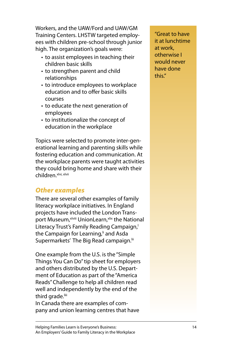<span id="page-18-0"></span>Workers, and the UAW/Ford and UAW/GM Training Centers. LHSTW targeted employees with children pre-school through junior high. The organization's goals were:

- to assist employees in teaching their children basic skills
- to strengthen parent and child relationships
- to introduce employees to workplace education and to offer basic skills courses
- to educate the next generation of employees
- to institutionalize the concept of education in the workplace

Topics were selected to promote inter-generational learning and parenting skills while fostering education and communication. At the workplace parents were taught activities they could bring home and share with their children.xlvi, xlvii

# Other examples

There are several other examples of family literacy workplace initiatives. In England projects have included the London Transport Museum, xlviii UnionLearn, xlix the National Literacy Trust's Family Reading Campaign, the Campaign for Learning,<sup>i</sup> and Asda Supermarkets' The Big Read campaign.<sup>iii</sup>

One example from the U.S. is the "Simple Things You Can Do" tip sheet for employers and others distributed by the U.S. Department of Education as part of the "America Reads" Challenge to help all children read well and independently by the end of the third grade.<sup>liii</sup>

In Canada there are examples of company and union learning centres that have "Great to have it at lunchtime at work, otherwise I would never have done this."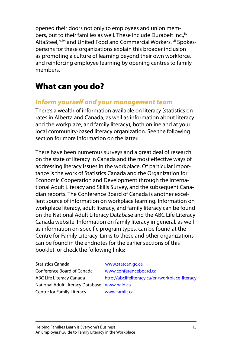<span id="page-19-0"></span>opened their doors not only to employees and union members, but to their families as well. These include Durabelt Inc., liv AltaSteel,<sup>Iv, Ivi</sup> and United Food and Commercial Workers.<sup>Ivii</sup> Spokespersons for these organizations explain this broader inclusion as promoting a culture of learning beyond their own workforce, and reinforcing employee learning by opening centres to family members.

# What can you do?

## Inform yourself and your management team

There's a wealth of information available on literacy (statistics on rates in Alberta and Canada, as well as information about literacy and the workplace, and family literacy), both online and at your local community-based literacy organization. See the following section for more information on the latter.

There have been numerous surveys and a great deal of research on the state of literacy in Canada and the most effective ways of addressing literacy issues in the workplace. Of particular importance is the work of Statistics Canada and the Organization for Economic Cooperation and Development through the International Adult Literacy and Skills Survey, and the subsequent Canadian reports. The Conference Board of Canada is another excellent source of information on workplace learning. Information on workplace literacy, adult literacy, and family literacy can be found on the National Adult Literacy Database and the ABC Life Literacy Canada website. Information on family literacy in general, as well as information on specific program types, can be found at the Centre for Family Literacy. Links to these and other organizations can be found in the endnotes for the earlier sections of this booklet, or check the following links:

Statistics Canada www.statcan.gc.ca Conference Board of Canada www.conferenceboard.ca National Adult Literacy Database www.nald.ca Centre for Family Literacy www.famlit.ca

ABC Life Literacy Canada http://abclifeliteracy.ca/en/workplace-literacy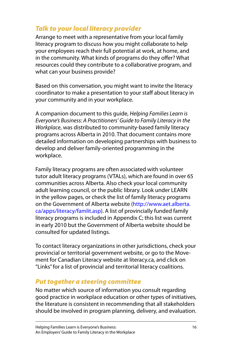# <span id="page-20-0"></span>Talk to your local literacy provider

Arrange to meet with a representative from your local family literacy program to discuss how you might collaborate to help your employees reach their full potential at work, at home, and in the community. What kinds of programs do they offer? What resources could they contribute to a collaborative program, and what can your business provide?

Based on this conversation, you might want to invite the literacy coordinator to make a presentation to your staff about literacy in your community and in your workplace.

A companion document to this guide, Helping Families Learn is Everyone's Business: A Practitioners' Guide to Family Literacy in the Workplace, was distributed to community-based family literacy programs across Alberta in 2010. That document contains more detailed information on developing partnerships with business to develop and deliver family-oriented programming in the workplace.

Family literacy programs are often associated with volunteer tutor adult literacy programs (VTALs), which are found in over 65 communities across Alberta. Also check your local community adult learning council, or the public library. Look under LEARN in the yellow pages, or check the list of family literacy programs on the Government of Alberta website (http://www.aet.alberta. ca/apps/literacy/famlit.asp). A list of provincially funded family literacy programs is included in Appendix C; this list was current in early 2010 but the Government of Alberta website should be consulted for updated listings.

To contact literacy organizations in other jurisdictions, check your provincial or territorial government website, or go to the Movement for Canadian Literacy website at literacy.ca, and click on "Links" for a list of provincial and territorial literacy coalitions.

## Put together a steering committee

No matter which source of information you consult regarding good practice in workplace education or other types of initiatives, the literature is consistent in recommending that all stakeholders should be involved in program planning, delivery, and evaluation.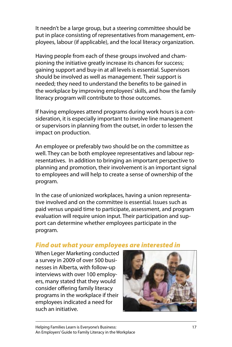<span id="page-21-0"></span>It needn't be a large group, but a steering committee should be put in place consisting of representatives from management, employees, labour (if applicable), and the local literacy organization.

Having people from each of these groups involved and championing the initiative greatly increase its chances for success; gaining support and buy-in at all levels is essential. Supervisors should be involved as well as management. Their support is needed; they need to understand the benefits to be gained in the workplace by improving employees' skills, and how the family literacy program will contribute to those outcomes.

If having employees attend programs during work hours is a consideration, it is especially important to involve line management or supervisors in planning from the outset, in order to lessen the impact on production.

An employee or preferably two should be on the committee as well. They can be both employee representatives and labour representatives. In addition to bringing an important perspective to planning and promotion, their involvement is an important signal to employees and will help to create a sense of ownership of the program.

In the case of unionized workplaces, having a union representative involved and on the committee is essential. Issues such as paid versus unpaid time to participate, assessment, and program evaluation will require union input. Their participation and support can determine whether employees participate in the program.

## Find out what your employees are interested in

When Leger Marketing conducted a survey in 2009 of over 500 businesses in Alberta, with follow-up interviews with over 100 employers, many stated that they would consider offering family literacy programs in the workplace if their employees indicated a need for such an initiative.

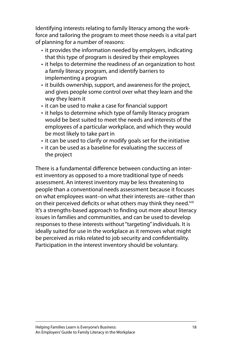Identifying interests relating to family literacy among the workforce and tailoring the program to meet those needs is a vital part of planning for a number of reasons:

- it provides the information needed by employers, indicating that this type of program is desired by their employees
- it helps to determine the readiness of an organization to host a family literacy program, and identify barriers to implementing a program
- it builds ownership, support, and awareness for the project, and gives people some control over what they learn and the way they learn it
- it can be used to make a case for financial support
- it helps to determine which type of family literacy program would be best suited to meet the needs and interests of the employees of a particular workplace, and which they would be most likely to take part in
- it can be used to clarify or modify goals set for the initiative
- it can be used as a baseline for evaluating the success of the project

There is a fundamental difference between conducting an interest inventory as opposed to a more traditional type of needs assessment. An interest inventory may be less threatening to people than a conventional needs assessment because it focuses on what employees want–on what their interests are–rather than on their perceived deficits or what others may think they need.<sup>Iviii</sup> It's a strengths-based approach to finding out more about literacy issues in families and communities, and can be used to develop responses to these interests without "targeting" individuals. It is ideally suited for use in the workplace as it removes what might be perceived as risks related to job security and confidentiality. Participation in the interest inventory should be voluntary.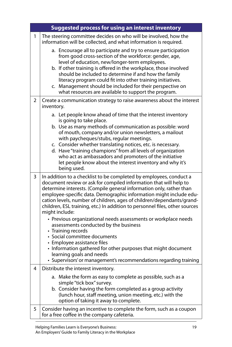|                | <b>Suggested process for using an interest inventory</b>                                                                                                                                                                                                                                                                                                                                                                                                                                                                       |  |  |
|----------------|--------------------------------------------------------------------------------------------------------------------------------------------------------------------------------------------------------------------------------------------------------------------------------------------------------------------------------------------------------------------------------------------------------------------------------------------------------------------------------------------------------------------------------|--|--|
| 1              | The steering committee decides on who will be involved, how the<br>information will be collected, and what information is required.                                                                                                                                                                                                                                                                                                                                                                                            |  |  |
|                | a. Encourage all to participate and try to ensure participation<br>from good cross-section of the workforce: gender, age,<br>level of education, new/longer-term employees.<br>b. If other training is offered in the workplace, those involved<br>should be included to determine if and how the family<br>literacy program could fit into other training initiatives.<br>c. Management should be included for their perspective on<br>what resources are available to support the program.                                   |  |  |
| $\overline{2}$ | Create a communication strategy to raise awareness about the interest<br>inventory.                                                                                                                                                                                                                                                                                                                                                                                                                                            |  |  |
|                | a. Let people know ahead of time that the interest inventory<br>is going to take place.<br>b. Use as many methods of communication as possible: word<br>of mouth, company and/or union newsletters, a mailout<br>with paycheques/stubs, regular meetings.<br>c. Consider whether translating notices, etc. is necessary.<br>d. Have "training champions" from all levels of organization<br>who act as ambassadors and promoters of the initiative<br>let people know about the interest inventory and why it's<br>being used. |  |  |
| 3              | In addition to a checklist to be completed by employees, conduct a<br>document review or ask for compiled information that will help to<br>determine interests. (Compile general information only, rather than<br>employee-specific data. Demographic information might include edu-<br>cation levels, number of children, ages of children/dependants/grand-<br>children, ESL training, etc.) In addition to personnel files, other sources<br>might include:                                                                 |  |  |
|                | • Previous organizational needs assessments or workplace needs<br>assessments conducted by the business<br>• Training records<br>• Social committee documents<br>• Employee assistance files<br>• Information gathered for other purposes that might document<br>learning goals and needs<br>• Supervisors' or management's recommendations regarding training                                                                                                                                                                 |  |  |
| 4              | Distribute the interest inventory.                                                                                                                                                                                                                                                                                                                                                                                                                                                                                             |  |  |
|                | a. Make the form as easy to complete as possible, such as a<br>simple "tick box" survey.<br>b. Consider having the form completed as a group activity<br>(lunch hour, staff meeting, union meeting, etc.) with the<br>option of taking it away to complete.                                                                                                                                                                                                                                                                    |  |  |
| 5              | Consider having an incentive to complete the form, such as a coupon<br>for a free coffee in the company cafeteria.                                                                                                                                                                                                                                                                                                                                                                                                             |  |  |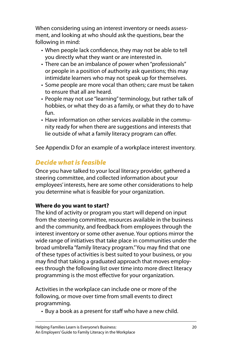<span id="page-24-0"></span>When considering using an interest inventory or needs assessment, and looking at who should ask the questions, bear the following in mind:

- When people lack confidence, they may not be able to tell you directly what they want or are interested in.
- There can be an imbalance of power when "professionals" or people in a position of authority ask questions; this may intimidate learners who may not speak up for themselves.
- Some people are more vocal than others; care must be taken to ensure that all are heard.
- People may not use "learning" terminology, but rather talk of hobbies, or what they do as a family, or what they do to have fun.
- Have information on other services available in the commu-• nity ready for when there are suggestions and interests that lie outside of what a family literacy program can offer.

See Appendix D for an example of a workplace interest inventory.

# Decide what is feasible

Once you have talked to your local literacy provider, gathered a steering committee, and collected information about your employees' interests, here are some other considerations to help you determine what is feasible for your organization.

## **Where do you want to start?**

The kind of activity or program you start will depend on input from the steering committee, resources available in the business and the community, and feedback from employees through the interest inventory or some other avenue. Your options mirror the wide range of initiatives that take place in communities under the broad umbrella "family literacy program." You may find that one of these types of activities is best suited to your business, or you may find that taking a graduated approach that moves employees through the following list over time into more direct literacy programming is the most effective for your organization.

Activities in the workplace can include one or more of the following, or move over time from small events to direct programming.

• Buy a book as a present for staff who have a new child.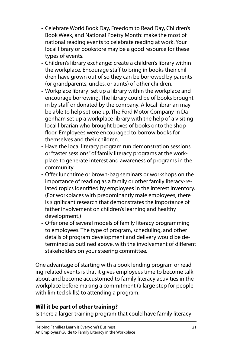- Celebrate World Book Day, Freedom to Read Day, Children's Book Week, and National Poetry Month: make the most of national reading events to celebrate reading at work. Your local library or bookstore may be a good resource for these types of events.
- Children's library exchange: create a children's library within the workplace. Encourage staff to bring in books their children have grown out of so they can be borrowed by parents (or grandparents, uncles, or aunts) of other children.
- Workplace library: set up a library within the workplace and encourage borrowing. The library could be of books brought in by staff or donated by the company. A local librarian may be able to help set one up. The Ford Motor Company in Dagenham set up a workplace library with the help of a visiting local librarian who brought boxes of books onto the shop floor. Employees were encouraged to borrow books for themselves and their children.
- Have the local literacy program run demonstration sessions or "taster sessions" of family literacy programs at the workplace to generate interest and awareness of programs in the community.
- Offer lunchtime or brown-bag seminars or workshops on the importance of reading as a family or other family literacy-related topics identified by employees in the interest inventory. (For workplaces with predominantly male employees, there is significant research that demonstrates the importance of father involvement on children's learning and healthy development.)
- Offer one of several models of family literacy programming •to employees. The type of program, scheduling, and other details of program development and delivery would be determined as outlined above, with the involvement of different stakeholders on your steering committee.

One advantage of starting with a book lending program or reading-related events is that it gives employees time to become talk about and become accustomed to family literacy activities in the workplace before making a commitment (a large step for people with limited skills) to attending a program.

## **Will it be part of other training?**

Is there a larger training program that could have family literacy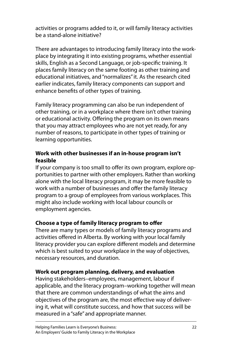activities or programs added to it, or will family literacy activities be a stand-alone initiative?

There are advantages to introducing family literacy into the workplace by integrating it into existing programs, whether essential skills, English as a Second Language, or job-specific training. It places family literacy on the same footing as other training and educational initiatives, and "normalizes" it. As the research cited earlier indicates, family literacy components can support and enhance benefits of other types of training.

Family literacy programming can also be run independent of other training, or in a workplace where there isn't other training or educational activity. Offering the program on its own means that you may attract employees who are not yet ready, for any number of reasons, to participate in other types of training or learning opportunities.

## **Work with other businesses if an in-house program isn't feasible**

If your company is too small to offer its own program, explore opportunities to partner with other employers. Rather than working alone with the local literacy program, it may be more feasible to work with a number of businesses and offer the family literacy program to a group of employees from various workplaces. This might also include working with local labour councils or employment agencies.

## **Choose a type of family literacy program to offer**

There are many types or models of family literacy programs and activities offered in Alberta. By working with your local family literacy provider you can explore different models and determine which is best suited to your workplace in the way of objectives, necessary resources, and duration.

## **Work out program planning, delivery, and evaluation**

Having stakeholders–employees, management, labour if applicable, and the literacy program–working together will mean that there are common understandings of what the aims and objectives of the program are, the most effective way of delivering it, what will constitute success, and how that success will be measured in a "safe" and appropriate manner.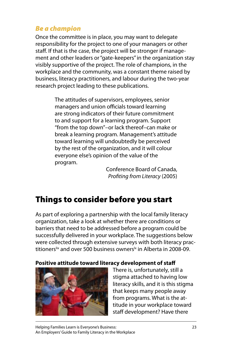# <span id="page-27-0"></span>Be a champion

Once the committee is in place, you may want to delegate responsibility for the project to one of your managers or other staff. If that is the case, the project will be stronger if management and other leaders or "gate-keepers" in the organization stay visibly supportive of the project. The role of champions, in the workplace and the community, was a constant theme raised by business, literacy practitioners, and labour during the two-year research project leading to these publications.

> The attitudes of supervisors, employees, senior managers and union officials toward learning are strong indicators of their future commitment to and support for a learning program. Support "from the top down"–or lack thereof–can make or break a learning program. Management's attitude toward learning will undoubtedly be perceived by the rest of the organization, and it will colour everyone else's opinion of the value of the program.

Conference Board of Canada, Profiting from Literacy (2005)

# Things to consider before you start

As part of exploring a partnership with the local family literacy organization, take a look at whether there are conditions or barriers that need to be addressed before a program could be successfully delivered in your workplace. The suggestions below were collected through extensive surveys with both literacy practitioners<sup>lix</sup> and over 500 business owners<sup>lx</sup> in Alberta in 2008-09.

### **Positive attitude toward literacy development of staff**



There is, unfortunately, still a stigma attached to having low literacy skills, and it is this stigma that keeps many people away from programs. What is the attitude in your workplace toward staff development? Have there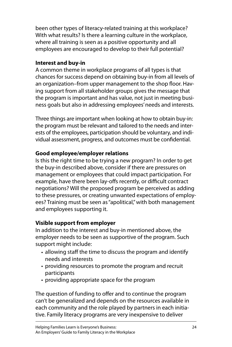been other types of literacy-related training at this workplace? With what results? Is there a learning culture in the workplace, where all training is seen as a positive opportunity and all employees are encouraged to develop to their full potential?

## **Interest and buy-in**

A common theme in workplace programs of all types is that chances for success depend on obtaining buy-in from all levels of an organization–from upper management to the shop floor. Having support from all stakeholder groups gives the message that the program is important and has value, not just in meeting business goals but also in addressing employees' needs and interests.

Three things are important when looking at how to obtain buy-in: the program must be relevant and tailored to the needs and interests of the employees, participation should be voluntary, and individual assessment, progress, and outcomes must be confidential.

## **Good employee/employer relations**

Is this the right time to be trying a new program? In order to get the buy-in described above, consider if there are pressures on management or employees that could impact participation. For example, have there been lay-offs recently, or difficult contract negotiations? Will the proposed program be perceived as adding to these pressures, or creating unwanted expectations of employees? Training must be seen as "apolitical," with both management and employees supporting it.

## **Visible support from employer**

In addition to the interest and buy-in mentioned above, the employer needs to be seen as supportive of the program. Such support might include:

- allowing staff the time to discuss the program and identify needs and interests
- providing resources to promote the program and recruit participants
- providing appropriate space for the program

The question of funding to offer and to continue the program can't be generalized and depends on the resources available in each community and the role played by partners in each initiative. Family literacy programs are very inexpensive to deliver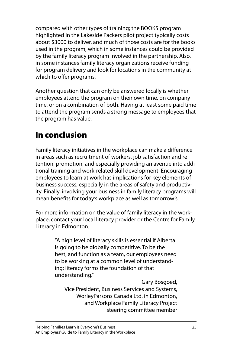<span id="page-29-0"></span>compared with other types of training; the BOOKS program highlighted in the Lakeside Packers pilot project typically costs about \$3000 to deliver, and much of those costs are for the books used in the program, which in some instances could be provided by the family literacy program involved in the partnership. Also, in some instances family literacy organizations receive funding for program delivery and look for locations in the community at which to offer programs.

Another question that can only be answered locally is whether employees attend the program on their own time, on company time, or on a combination of both. Having at least some paid time to attend the program sends a strong message to employees that the program has value.

# In conclusion

Family literacy initiatives in the workplace can make a difference in areas such as recruitment of workers, job satisfaction and retention, promotion, and especially providing an avenue into additional training and work-related skill development. Encouraging employees to learn at work has implications for key elements of business success, especially in the areas of safety and productivity. Finally, involving your business in family literacy programs will mean benefits for today's workplace as well as tomorrow's.

For more information on the value of family literacy in the workplace, contact your local literacy provider or the Centre for Family Literacy in Edmonton.

> "A high level of literacy skills is essential if Alberta is going to be globally competitive. To be the best, and function as a team, our employees need to be working at a common level of understanding; literacy forms the foundation of that understanding."

Gary Bosgoed, Vice President, Business Services and Systems, WorleyParsons Canada Ltd. in Edmonton, and Workplace Family Literacy Project steering committee member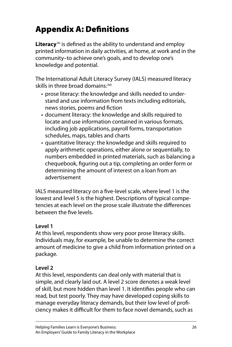# <span id="page-30-0"></span>Appendix A: Definitions

**Literacy**<sup>|xi</sup> is defined as the ability to understand and employ printed information in daily activities, at home, at work and in the community–to achieve one's goals, and to develop one's knowledge and potential.

The International Adult Literacy Survey (IALS) measured literacy skills in three broad domains: <sup>Ixii</sup>

- prose literacy: the knowledge and skills needed to under-• stand and use information from texts including editorials, news stories, poems and fiction
- document literacy: the knowledge and skills required to locate and use information contained in various formats, including job applications, payroll forms, transportation schedules, maps, tables and charts
- quantitative literacy: the knowledge and skills required to apply arithmetic operations, either alone or sequentially, to numbers embedded in printed materials, such as balancing a chequebook, figuring out a tip, completing an order form or determining the amount of interest on a loan from an advertisement

IALS measured literacy on a five-level scale, where level 1 is the lowest and level 5 is the highest. Descriptions of typical competencies at each level on the prose scale illustrate the differences between the five levels.

## **Level 1**

At this level, respondents show very poor prose literacy skills. Individuals may, for example, be unable to determine the correct amount of medicine to give a child from information printed on a package.

## **Level 2**

At this level, respondents can deal only with material that is simple, and clearly laid out. A level 2 score denotes a weak level of skill, but more hidden than level 1. It identifies people who can read, but test poorly. They may have developed coping skills to manage everyday literacy demands, but their low level of proficiency makes it difficult for them to face novel demands, such as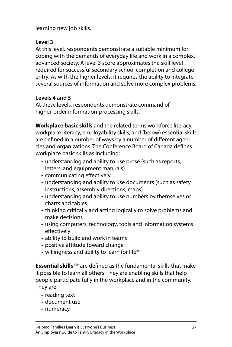learning new job skills.

## **Level 3**

At this level, respondents demonstrate a suitable minimum for coping with the demands of everyday life and work in a complex, advanced society. A level 3 score approximates the skill level required for successful secondary school completion and college entry. As with the higher levels, it requires the ability to integrate several sources of information and solve more complex problems.

## **Levels 4 and 5**

At these levels, respondents demonstrate command of higher-order information-processing skills.

**Workplace basic skills** and the related terms workforce literacy, workplace literacy, employability skills, and (below) essential skills are defined in a number of ways by a number of different agencies and organizations. The Conference Board of Canada defines workplace basic skills as including:

- understanding and ability to use prose (such as reports, letters, and equipment manuals)
- communicating effectively
- understanding and ability to use documents (such as safety instructions, assembly directions, maps)
- understanding and ability to use numbers by themselves or charts and tables
- thinking critically and acting logically to solve problems and make decisions
- using computers, technology, tools and information systems effectively
- ability to build and work in teams
- positive attitude toward change •
- willingness and ability to learn for life $^{\text{lxiii}}$

**Essential skills kiv** are defined as the fundamental skills that make it possible to learn all others. They are enabling skills that help people participate fully in the workplace and in the community. They are:

- reading text
- document use •
- numeracy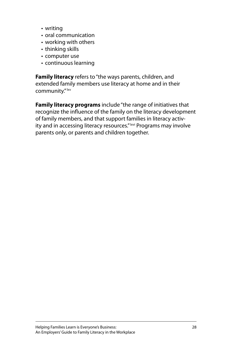- writing •
- oral communication
- working with others
- thinking skills
- computer use
- continuous learning •

**Family literacy** refers to "the ways parents, children, and extended family members use literacy at home and in their community."<sup>Ixv</sup>

**Family literacy programs** include "the range of initiatives that recognize the influence of the family on the literacy development of family members, and that support families in literacy activity and in accessing literacy resources."<sup>Ixvi</sup> Programs may involve parents only, or parents and children together.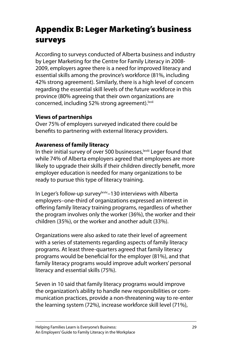# <span id="page-33-0"></span>Appendix B: Leger Marketing's business surveys

According to surveys conducted of Alberta business and industry by Leger Marketing for the Centre for Family Literacy in 2008- 2009, employers agree there is a need for improved literacy and essential skills among the province's workforce (81%, including 42% strong agreement). Similarly, there is a high level of concern regarding the essential skill levels of the future workforce in this province (80% agreeing that their own organizations are concerned, including 52% strong agreement).<sup>Ixvii</sup>

## **Views of partnerships**

Over 75% of employers surveyed indicated there could be benefits to partnering with external literacy providers.

## **Awareness of family literacy**

In their initial survey of over 500 businesses, xviii Leger found that while 74% of Alberta employers agreed that employees are more likely to upgrade their skills if their children directly benefit, more employer education is needed for many organizations to be ready to pursue this type of literacy training.

In Leger's follow-up survey<sup>|xviv</sup>-130 interviews with Alberta employers–one-third of organizations expressed an interest in offering family literacy training programs, regardless of whether the program involves only the worker (36%), the worker and their children (35%), or the worker and another adult (33%).

Organizations were also asked to rate their level of agreement with a series of statements regarding aspects of family literacy programs. At least three-quarters agreed that family literacy programs would be beneficial for the employer (81%), and that family literacy programs would improve adult workers' personal literacy and essential skills (75%).

Seven in 10 said that family literacy programs would improve the organization's ability to handle new responsibilities or communication practices, provide a non-threatening way to re-enter the learning system (72%), increase workforce skill level (71%),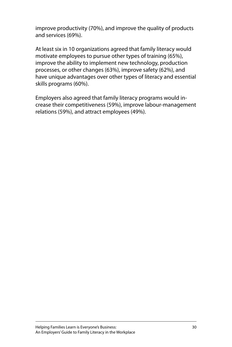improve productivity (70%), and improve the quality of products and services (69%).

At least six in 10 organizations agreed that family literacy would motivate employees to pursue other types of training (65%), improve the ability to implement new technology, production processes, or other changes (63%), improve safety (62%), and have unique advantages over other types of literacy and essential skills programs (60%).

Employers also agreed that family literacy programs would increase their competitiveness (59%), improve labour-management relations (59%), and attract employees (49%).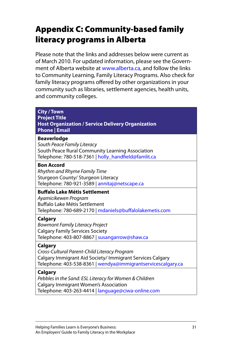# <span id="page-35-0"></span>Appendix C: Community-based family literacy programs in Alberta

Please note that the links and addresses below were current as of March 2010. For updated information, please see the Government of Alberta website at www.alberta.ca, and follow the links to Community Learning, Family Literacy Programs. Also check for family literacy programs offered by other organizations in your community such as libraries, settlement agencies, health units, and community colleges.

| <b>City / Town</b><br><b>Project Title</b><br><b>Host Organization / Service Delivery Organization</b><br><b>Phone   Email</b>                                                              |
|---------------------------------------------------------------------------------------------------------------------------------------------------------------------------------------------|
| <b>Beaverlodge</b><br>South Peace Family Literacy<br>South Peace Rural Community Learning Association<br>Telephone: 780-518-7361   holly_handfield@famlit.ca                                |
| <b>Bon Accord</b><br>Rhythm and Rhyme Family Time<br>Sturgeon County/ Sturgeon Literacy<br>Telephone: 780-921-3589   annitaj@netscape.ca                                                    |
| <b>Buffalo Lake Métis Settlement</b><br>Ayamicikewen Program<br>Buffalo Lake Métis Settlement<br>Telephone: 780-689-2170   mdaniels@buffalolakemetis.com                                    |
| Calgary<br><b>Bowmont Family Literacy Project</b><br><b>Calgary Family Services Society</b><br>Telephone: 403-807-8867   susangarrow@shaw.ca                                                |
| <b>Calgary</b><br>Cross-Cultural Parent-Child Literacy Program<br>Calgary Immigrant Aid Society/ Immigrant Services Calgary<br>Telephone: 403-538-8361   wendya@immigrantservicescalgary.ca |
| Calgary<br>Pebbles in the Sand: ESL Literacy for Women & Children<br><b>Calgary Immigrant Women's Association</b>                                                                           |

Telephone: 403-263-4414 | language@ciwa-online.com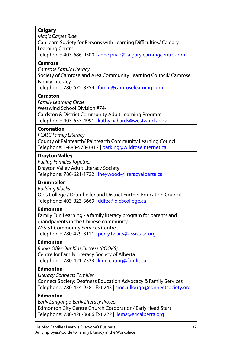### **Calgary**

Magic Carpet Ride CanLearn Society for Persons with Learning Difficulties/ Calgary Learning Centre Telephone: 403-686-9300 | anne.price@calgarylearningcentre.com

#### **Camrose**

Camrose Family Literacy Society of Camrose and Area Community Learning Council/ Camrose Family Literacy Telephone: 780-672-8754 | famlit@camroselearning.com

#### **Cardston**

Family Learning Circle Westwind School Division #74/ Cardston & District Community Adult Learning Program Telephone: 403-653-4991 | kathy.richards@westwind.ab.ca

#### **Coronation**

PCALC Family Literacy County of Paintearth/ Paintearth Community Learning Council Telephone: 1-888-578-3817 | patking@wildroseinternet.ca

#### **Drayton Valley**

Pulling Families Together Drayton Valley Adult Literacy Society Telephone: 780-621-1722 | lheywood@literacyalberta.ca

#### **Drumheller**

Building Blocks Olds College / Drumheller and District Further Education Council Telephone: 403-823-3669 | ddfec@oldscollege.ca

#### **Edmonton**

Family Fun Learning - a family literacy program for parents and grandparents in the Chinese community ASSIST Community Services Centre Telephone: 780-429-3111 | perry.twaits@assistcsc.org

#### **Edmonton**

Books Offer Our Kids Success (BOOKS) Centre for Family Literacy Society of Alberta Telephone: 780-421-7323 | kim\_chung@famlit.ca

#### **Edmonton**

Literacy Connects Families

Connect Society: Deafness Education Advocacy & Family Services Telephone: 780-454-9581 Ext 243 | smccullough@connectsociety.org

#### **Edmonton**

Early Language-Early Literacy Project Edmonton City Centre Church Corporation/ Early Head Start Telephone: 780-426-3666 Ext 222 | llema@e4calberta.org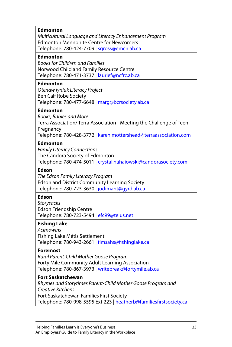| <b>Edmonton</b><br>Multicultural Language and Literacy Enhancement Program<br><b>Edmonton Mennonite Centre for Newcomers</b><br>Telephone: 780-424-7709   sgross@emcn.ab.ca                                                           |
|---------------------------------------------------------------------------------------------------------------------------------------------------------------------------------------------------------------------------------------|
| <b>Edmonton</b><br><b>Books for Children and Families</b><br>Norwood Child and Family Resource Centre<br>Telephone: 780-471-3737   laurief@ncfrc.ab.ca                                                                                |
| <b>Edmonton</b><br>Otenaw lyniuk Literacy Project<br><b>Ben Calf Robe Society</b><br>Telephone: 780-477-6648   marg@bcrsociety.ab.ca                                                                                                  |
| Edmonton<br>Books, Babies and More<br>Terra Association/Terra Association - Meeting the Challenge of Teen<br>Pregnancy<br>Telephone: 780-428-3772   karen.mottershead@terraassociation.com                                            |
| <b>Edmonton</b><br><b>Family Literacy Connections</b><br>The Candora Society of Edmonton<br>Telephone: 780-474-5011   crystal.nahaiowski@candorasociety.com                                                                           |
| Edson<br>The Edson Family Literacy Program<br><b>Edson and District Community Learning Society</b><br>Telephone: 780-723-3630   jodimant@gyrd.ab.ca                                                                                   |
| <b>Edson</b><br>Storysacks<br><b>Edson Friendship Centre</b><br>Telephone: 780-723-5494   efc99@telus.net                                                                                                                             |
| <b>Fishing Lake</b><br><b>Acimowins</b><br>Fishing Lake Métis Settlement<br>Telephone: 780-943-2661   flmsahs@fishinglake.ca                                                                                                          |
| <b>Foremost</b><br>Rural Parent-Child Mother Goose Program<br>Forty Mile Community Adult Learning Association<br>Telephone: 780-867-3973   writebreak@fortymile.ab.ca                                                                 |
| <b>Fort Saskatchewan</b><br>Rhymes and Storytimes Parent-Child Mother Goose Program and<br><b>Creative Kitchens</b><br>Fort Saskatchewan Families First Society<br>Telephone: 780-998-5595 Ext 223   heatherb@familiesfirstsociety.ca |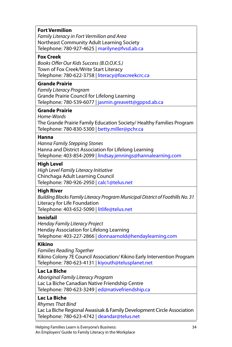#### **Fort Vermilion**

Family Literacy in Fort Vermilion and Area Northeast Community Adult Learning Society Telephone: 780-927-4625 | marilyne@fvsd.ab.ca

#### **Fox Creek**

Books Offer Our Kids Success (B.O.O.K.S.) Town of Fox Creek/Write Start Literacy Telephone: 780-622-3758 | literacy@foxcreekcrc.ca

#### **Grande Prairie**

Family Literacy Program Grande Prairie Council for Lifelong Learning Telephone: 780-539-6077 | jasmin.greavett@gppsd.ab.ca

#### **Grande Prairie**

Home-Words The Grande Prairie Family Education Society/ Healthy Families Program Telephone: 780-830-5300 | betty.miller@pchr.ca

#### **Hanna**

Hanna Family Stepping Stones Hanna and District Association for Lifelong Learning Telephone: 403-854-2099 | lindsay.jennings@hannalearning.com

#### **High Level**

High Level Family Literacy Initiative Chinchaga Adult Learning Council Telephone: 780-926-2950 | calc1@telus.net

#### **High River**

Building Blocks Family Literacy Program Municipal District of Foothills No. 31 Literacy for Life Foundation Telephone: 403-652-5090 | litlife@telus.net

#### **Innisfail**

Henday Family Literacy Project Henday Association for Lifelong Learning Telephone: 403-227-2866 | donnaarnold@hendaylearning.com

#### **Kikino**

Families Reading Together Kikino Colony 7E Council Association/ Kikino Early Intervention Program Telephone: 780-623-4131 | kiyouth@telusplanet.net

#### **Lac La Biche**

Aboriginal Family Literacy Program Lac La Biche Canadian Native Friendship Centre Telephone: 780-623-3249 | ed@nativefriendship.ca

#### **Lac La Biche**

Rhymes That Bind

Lac La Biche Regional Awasisak & Family Development Circle Association Telephone: 780-623-4742 | deandar@telus.net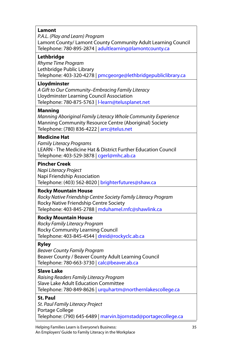#### **Lamont**

P.A.L. (Play and Learn) Program Lamont County/ Lamont County Community Adult Learning Council Telephone: 780-895-2874 | adultlearning@lamontcounty.ca

#### **Lethbridge**

Rhyme Time Program Lethbridge Public Library Telephone: 403-320-4278 | pmcgeorge@lethbridgepubliclibrary.ca

#### **Lloydminster**

A Gift to Our Community–Embracing Family Literacy Lloydminster Learning Council Association Telephone: 780-875-5763 | l-learn@telusplanet.net

#### **Manning**

Manning Aboriginal Family Literacy Whole Community Experience Manning Community Resource Centre (Aboriginal) Society Telephone: (780) 836-4222 | arrc@telus.net

#### **Medicine Hat**

Family Literacy Programs LEARN - The Medicine Hat & District Further Education Council Telephone: 403-529-3878 | cgerl@mhc.ab.ca

#### **Pincher Creek**

Napi Literacy Project Napi Friendship Association Telephone: (403) 562-8020 | brighterfutures@shaw.ca

#### **Rocky Mountain House**

Rocky Native Friendship Centre Society Family Literacy Program Rocky Native Friendship Centre Society Telephone: 403-845-2788 | mduhamel.rnfc@shawlink.ca

#### **Rocky Mountain House**

Rocky Family Literacy Program Rocky Community Learning Council Telephone: 403-845-4544 | dreid@rockyclc.ab.ca

#### **Ryley**

Beaver County Family Program Beaver County / Beaver County Adult Learning Council Telephone: 780-663-3730 | calc@beaver.ab.ca

#### **Slave Lake**

Raising Readers Family Literacy Program Slave Lake Adult Education Committee Telephone: 780-849-8626 | urquhartm@northernlakescollege.ca

#### **St. Paul**

St. Paul Family Literacy Project Portage College Telephone: (790) 645-6489 | marvin.bjornstad@portagecollege.ca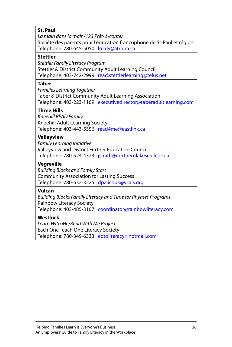#### **St. Paul**

La main dans la main/123 Prêt-à-conter Société des parents pour l'éducation francophone de St-Paul et région Telephone: 780-645-5050 | lreidy@atrium.ca

#### **Stettler**

Stettler Family Literacy Program Stettler & District Community Adult Learning Council Telephone: 403-742-2999 | read.stettlerlearning@telus.net

#### **Taber**

Families Learning Together Taber & District Community Adult Learning Association Telephone: 403-223-1169 | executivedirector@taberadultlearning.com

#### **Three Hills**

Kneehill READ Family Kneehill Adult Learning Society Telephone: 403-443-5556 | read4me@eastlink.ca

#### **Valleyview**

Family Learning Initiative Valleyview and District Further Education Council Telephone: 780-524-4323 | jsmith@northernlakescollege.ca

#### **Vegreville**

Building Blocks and Family Start Community Association for Lasting Success Telephone: 780-632-3225 | dpalichuk@vcals.org

#### **Vulcan**

Building Blocks Family Literacy and Time for Rhymes Programs Rainbow Literacy Society Telephone: 403-485-3107 | coordinator@rainbowliteracy.com

#### **Westlock**

Learn With Me/Read With Me Project Each One Teach One Literacy Society Telephone: 780-349-6333 | eotoliteracy@hotmail.com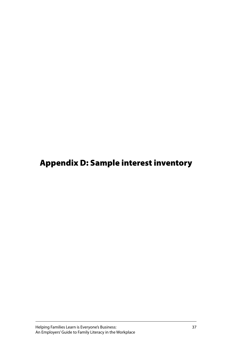# <span id="page-41-0"></span>Appendix D: Sample interest inventory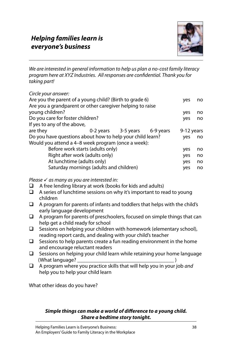

We are interested in general information to help us plan a no-cost family literacy program here at XYZ Industries. All responses are confidential. Thank you for taking part!

Circle your answer: Are you the parent of a young child? (Birth to grade 6) yes no Are you a grandparent or other caregiver helping to raise young children? yes no Do you care for foster children? If yes to any of the above, are they 0-2 years 3-5 years 6-9 years 9-12 years Do you have questions about how to help your child learn? yes no Would you attend a 4–8 week program (once a week): Before work starts (adults only) yes no Right after work (adults only) yes no At lunchtime (adults only) yes no Saturday mornings (adults and children) was no

Please  $\checkmark$  as many as you are interested in:<br> $\Box$  A free lending library at work (books

- A free lending library at work (books for kids and adults)
- $\Box$  A series of lunchtime sessions on why it's important to read to young children
- $\Box$  A program for parents of infants and toddlers that helps with the child's early language development
- $\Box$  A program for parents of preschoolers, focused on simple things that can help get a child ready for school
- $\Box$  Sessions on helping your children with homework (elementary school), reading report cards, and dealing with your child's teacher
- $\Box$  Sessions to help parents create a fun reading environment in the home and encourage reluctant readers
- $\Box$  Sessions on helping your child learn while retaining your home language (What language? \_\_\_\_\_\_\_\_\_\_\_\_\_\_\_\_\_\_\_\_\_\_\_\_\_\_\_\_\_\_\_\_\_\_\_\_ )
- $\Box$  A program where you practice skills that will help you in your job and help you to help your child learn

What other ideas do you have?

#### **Simple things can make a world of difference to a young child. Share a bedtime story tonight.**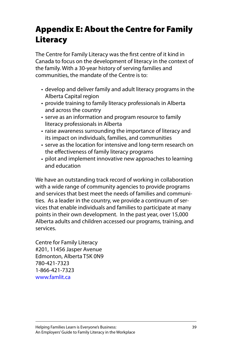# <span id="page-43-0"></span>Appendix E: About the Centre for Family Literacy

The Centre for Family Literacy was the first centre of it kind in Canada to focus on the development of literacy in the context of the family. With a 30-year history of serving families and communities, the mandate of the Centre is to:

- develop and deliver family and adult literacy programs in the Alberta Capital region
- provide training to family literacy professionals in Alberta and across the country
- serve as an information and program resource to family literacy professionals in Alberta
- raise awareness surrounding the importance of literacy and its impact on individuals, families, and communities
- serve as the location for intensive and long-term research on the effectiveness of family literacy programs
- pilot and implement innovative new approaches to learning •and education

We have an outstanding track record of working in collaboration with a wide range of community agencies to provide programs and services that best meet the needs of families and communities. As a leader in the country, we provide a continuum of services that enable individuals and families to participate at many points in their own development. In the past year, over 15,000 Alberta adults and children accessed our programs, training, and services.

Centre for Family Literacy #201, 11456 Jasper Avenue Edmonton, Alberta T5K 0N9 780-421-7323 1-866-421-7323 www.famlit.ca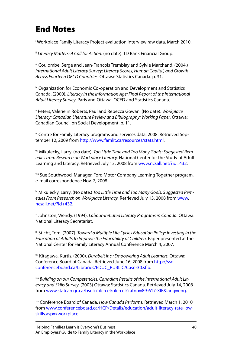# <span id="page-44-0"></span>End Notes

i Workplace Family Literacy Project evaluation interview raw data, March 2010.

ii Literacy Matters: A Call for Action. (no date). TD Bank Financial Group.

iii Coulombe, Serge and Jean-Francois Tremblay and Sylvie Marchand. (2004.) International Adult Literacy Survey: Literacy Scores, Human Capital, and Growth Across Fourteen OECD Countries. Ottawa: Statistics Canada. p. 31.

iv Organization for Economic Co-operation and Development and Statistics Canada. (2000). Literacy in the Information Age: Final Report of the International Adult Literacy Survey. Paris and Ottawa: OCED and Statistics Canada.

v Peters, Valerie in Roberts, Paul and Rebecca Gowan. (No date). Workplace Literacy: Canadian Literature Review and Bibliography: Working Paper. Ottawa: Canadian Council on Social Development. p. 11.

vi Centre for Family Literacy programs and services data, 2008. Retrieved September 12, 2009 from http://www.famlit.ca/resources/stats.html.

vii Mikulecky, Larry. (no date). Too Little Time and Too Many Goals: Suggested Remedies from Research on Workplace Literacy. National Center for the Study of Adult Learning and Literacy. Retrieved July 13, 2008 from www.ncsall.net/?id=432.

viii Sue Southwood, Manager, Ford Motor Company Learning Together program, e-mail correspondence Nov. 7, 2008

<sup>ix</sup> Mikulecky, Larry. (No date.) Too Little Time and Too Many Goals: Suggested Remedies From Research on Workplace Literacy. Retrieved July 13, 2008 from www. ncsall.net/?id+432.

x Johnston, Wendy. (1994). Labour-Initiated Literacy Programs in Canada. Ottawa: National Literacy Secretariat.

xi Sticht, Tom. (2007). Toward a Multiple Life Cycles Education Policy: Investing in the Education of Adults to Improve the Educability of Children. Paper presented at the National Center for Family Literacy Annual Conference March 4, 2007.

xii Kitagawa, Kurtis. (2000). Durabelt Inc.: Empowering Adult Learners. Ottawa: Conference Board of Canada. Retrieved June 16, 2008 from [http://sso.](http://sso.conferenceboard.ca/Libraries/EDUC_PUBLIC/Case-30.sflb.) confer[enceboard.ca/Libraries/EDUC\\_PUBLIC/Case-30.sflb.](http://sso.conferenceboard.ca/Libraries/EDUC_PUBLIC/Case-30.sflb.)

xiii Building on our Competencies: Canadian Results of the International Adult Literacy and Skills Survey. (2003) Ottawa: Statistics Canada. Retrieved July 14, 2008 from www.statcan.gc.ca/bsolc/olc-cel/olc-cel?catno=89-617-XIE&lang=eng.

xiv Conference Board of Canada. How Canada Performs. Retrieved March 1, 2010 from www.conferenceboard.ca/HCP/Details/education/adult-literacy-rate-lowskills.aspx#workplace.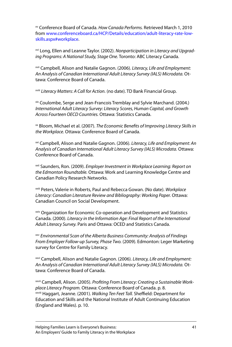xv Conference Board of Canada. How Canada Performs. Retrieved March 1, 2010 from www.conferenceboard.ca/HCP/Details/education/adult-literacy-rate-lowskills.aspx#workplace.

<sup>xvi</sup> Long, Ellen and Leanne Taylor. (2002). Nonparticipation in Literacy and Upgrading Programs: A National Study, Stage One. Toronto: ABC Literacy Canada.

xvii Campbell, Alison and Natalie Gagnon. (2006). Literacy, Life and Employment: An Analysis of Canadian International Adult Literacy Survey (IALS) Microdata. Ottawa: Conference Board of Canada.

xviii Literacy Matters: A Call for Action. (no date). TD Bank Financial Group.

xix Coulombe, Serge and Jean-Francois Tremblay and Sylvie Marchand. (2004.) International Adult Literacy Survey: Literacy Scores, Human Capital, and Growth Across Fourteen OECD Countries. Ottawa: Statistics Canada.

<sup>xx</sup> Bloom, Michael et al. (2007). The Economic Benefits of Improving Literacy Skills in the Workplace. Ottawa: Conference Board of Canada.

<sup>xxi</sup> Campbell, Alison and Natalie Gagnon. (2006). Literacy, Life and Employment: An Analysis of Canadian International Adult Literacy Survey (IALS) Microdata. Ottawa: Conference Board of Canada.

<sup>xxii</sup> Saunders, Ron. (2009). Employer Investment in Workplace Learning: Report on the Edmonton Roundtable. Ottawa: Work and Learning Knowledge Centre and Canadian Policy Research Networks.

xxiii Peters, Valerie in Roberts, Paul and Rebecca Gowan. (No date). Workplace Literacy: Canadian Literature Review and Bibliography: Working Paper. Ottawa: Canadian Council on Social Development.

xxiv Organization for Economic Co-operation and Development and Statistics Canada. (2000). Literacy in the Information Age: Final Report of the International Adult Literacy Survey. Paris and Ottawa: OCED and Statistics Canada.

xxv Environmental Scan of the Alberta Business Community: Analysis of Findings From Employer Follow-up Survey, Phase Two. (2009). Edmonton: Leger Marketing survey for Centre for Family Literacy.

xxvi Campbell, Alison and Natalie Gagnon. (2006). Literacy, Life and Employment: An Analysis of Canadian International Adult Literacy Survey (IALS) Microdata. Ottawa: Conference Board of Canada.

xxvii Campbell, Alison. (2005). Profiting From Literacy: Creating a Sustainable Workplace Literacy Program. Ottawa: Conference Board of Canada. p. 8. xxviii Haggart, Jeanne. (2001). Walking Ten Feet Tall. Sheffield: Department for Education and Skills and the National Institute of Adult Continuing Education (England and Wales). p. 10.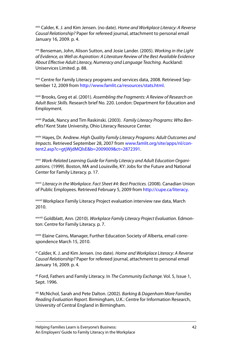xxix Calder, K. J. and Kim Jensen. (no date). Home and Workplace Literacy: A Reverse Causal Relationship? Paper for refereed journal, attachment to personal email January 16, 2009. p. 4.

xxx Benseman, John, Alison Sutton, and Josie Lander. (2005). Working in the Light of Evidence, as Well as Aspiration: A Literature Review of the Best Available Evidence About Effective Adult Literacy, Numeracy and Language Teaching. Auckland: Uniservices Limited. p. 88.

xxxi Centre for Family Literacy programs and services data, 2008. Retrieved September 12, 2009 from http://www.famlit.ca/resources/stats.html.

xxxii Brooks, Greg et al. (2001). Assembling the Fragments: A Review of Research on Adult Basic Skills. Research brief No. 220. London: Department for Education and Employment.

xxxiii Padak, Nancy and Tim Raskinski. (2003). Family Literacy Programs: Who Benefits? Kent State University, Ohio Literacy Resource Center.

xxxiv Hayes, Dr. Andrew. High Quality Family Literacy Programs: Adult Outcomes and Impacts. Retrieved September 28, 2007 from www.famlit.org/site/apps/nl/content2.asp?c=gtjWjdMQlsE&b=2009009&ct=2872391.

xxxv Work-Related Learning Guide for Family Literacy and Adult Education Organizations. (1999). Boston, MA and Louisville, KY: Jobs for the Future and National Center for Family Literacy. p. 17.

xxxvi Literacy in the Workplace. Fact Sheet #4: Best Practices. (2008). Canadian Union of Public Employees. Retrieved February 5, 2009 from http://cupe.ca/literacy.

xxxvii Workplace Family Literacy Project evaluation interview raw data, March 2010.

xxxviii Goldblatt, Ann. (2010). Workplace Family Literacy Project Evaluation. Edmonton: Centre for Family Literacy. p. 7.

xxxix Elaine Cairns, Manager, Further Education Society of Alberta, email correspondence March 15, 2010.

<sup>xi</sup> Calder, K. J. and Kim Jensen. (no date). Home and Workplace Literacy: A Reverse Causal Relationship? Paper for refereed journal, attachment to personal email January 16, 2009. p. 4.

<sup>xli</sup> Ford, Fathers and Family Literacy. In The Community Exchange. Vol. 5, Issue 1, Sept. 1996.

<sup>xlii</sup> McNichol, Sarah and Pete Dalton. (2002). Barking & Dagenham More Families Reading Evaluation Report. Birmingham, U.K.: Centre for Information Research, University of Central England in Birmingham.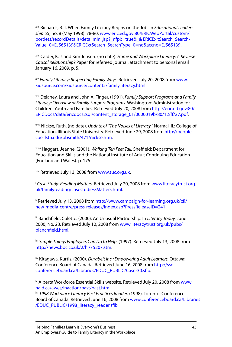xliii Richards, R. T. When Family Literacy Begins on the Job. In Educational Leadership 55, no. 8 (May 1998): 78-80[. www.eric.ed.gov:80/ERICWebPortal/custom/](http://www.eric.ed.gov:80/ERICWebPortal/custom/portlets/recordDetails/detailmini.jsp?_nfpb=true&_& ERICEx tSearch_SearchValue_0=EJ565139&ERICExtSearch_SearchType_0=no&accno=EJ565139) portlets/recordDetails/detailmini.jsp?\_nfpb=true&\_& ERICEx tSearch\_Search-[Value\\_0=EJ565139&ERICExtSearch\\_SearchType\\_0=no&accno=EJ565139.](http://www.eric.ed.gov:80/ERICWebPortal/custom/portlets/recordDetails/detailmini.jsp?_nfpb=true&_& ERICEx tSearch_SearchValue_0=EJ565139&ERICExtSearch_SearchType_0=no&accno=EJ565139)

<sup>xliv</sup> Calder, K. J. and Kim Jensen. (no date). Home and Workplace Literacy: A Reverse Causal Relationship? Paper for refereed journal, attachment to personal email January 16, 2009. p. 5.

x<sup>I</sup> Family Literacy: Respecting Family Ways. Retrieved July 20, 2008 from www. kidsource.com/kidsource/content5/family.literacy.html.

xlvi Delaney, Laura and John A. Finger. (1991). Family Support Programs and Family Literacy: Overview of Family Support Programs. Washington: Administration for Children, Youth and Families. Retrieved July 20, 2008 from http://eric.ed.gov:80/ ERICDocs/data/ericdocs2sql/content\_storage\_01/0000019b/80/12/ff/27.pdf.

xlvii Nickse, Ruth. (no date). Update of "The Noises of Literacy." Normal, IL: College of Education, Illinois State University. Retrieved June 29, 2008 from http://people. coe.ilstu.edu/bbsmith/471/nickse.htm.

xlviii Haggart, Jeanne. (2001). Walking Ten Feet Tall. Sheffield: Department for Education and Skills and the National Institute of Adult Continuing Education (England and Wales). p. 175.

xlix Retrieved July 13, 2008 from www.tuc.org.uk.

<sup>1</sup> Case Study: Reading Matters. Retrieved July 20, 2008 from www.literacytrust.org. uk/familyreading/casestudies/Matters.html.

li Retrieved July 13, 2008 from http://www.campaign-for-learning.org.uk/cfl/ new-media-centre/press-releases/index.asp?PressReleaseID=241

lii Banchfield, Colette. (2000). An Unusual Partnership. In Literacy Today. June 2000, No. 23. Retrieved July 12, 2008 from www.literacytrust.org.uk/pubs/ blanchfield.html.

liii Simple Things Employers Can Do to Help. (1997). Retrieved July 13, 2008 from http://news.bbc.co.uk/2/hi/75207.stm.

liv Kitagawa, Kurtis. (2000). Durabelt Inc.: Empowering Adult Learners. Ottawa: Conference Board of Canada. Retrieved June 16, 2008 fro[m http://sso.](http://sso.conferenceboard.ca/Libraries/EDUC_PUBLIC/Case-30.sflb) confer[enceboard.ca/Libraries/EDUC\\_PUBLIC/Case-30.sflb.](http://sso.conferenceboard.ca/Libraries/EDUC_PUBLIC/Case-30.sflb)

<sup>1</sup> Alberta Workforce Essential Skills website. Retrieved July 20, 2008 from www. nald.ca/awes/inaction/past/past.htm.

<sup>Ivi</sup> 1998 Workplace Literacy Best Practices Reader. (1998). Toronto: Conference Board of Canada. Retrieved June 16, 2008 fro[m www.conferenceboard.ca/Librar](www.conferenceboard.ca/Libraries/EDUC_PUBLIC/1998_literacy_reader.sflb)ies [/EDUC\\_PUBLIC/1998\\_literacy\\_reader.sflb.](www.conferenceboard.ca/Libraries/EDUC_PUBLIC/1998_literacy_reader.sflb)